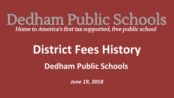Dedham Public Schools Home to America's first tax supported, free public school

# **District Fees History**

**Dedham Public Schools**

*June 19, 2018*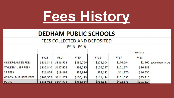

|                           |             |             | <b>DEDHAM PUBLIC SCHOOLS</b> |             |             |             |                  |
|---------------------------|-------------|-------------|------------------------------|-------------|-------------|-------------|------------------|
|                           |             |             | FEES COLLECTED AND DEPOSITED |             |             |             |                  |
|                           |             |             | <b>FY13 - FY18</b>           |             |             |             |                  |
|                           |             |             |                              |             |             | to date     |                  |
|                           | <b>FY13</b> | <b>FY14</b> | <b>FY15</b>                  | <b>FY16</b> | <b>FY17</b> | <b>FY18</b> |                  |
| <b>KINDERGARTEN FEES</b>  | \$331,343   | \$336,551   | \$335,750                    | \$278,604   | \$176,694   | \$2,460     | (owed from FY17) |
| <b>ATHLETIC USER FEES</b> | \$132,340   | \$137,453   | \$98,515                     | \$105,237   | \$101,974   | \$86,883    |                  |
| <b>AP FEES</b>            | \$21,824    | \$19,292    | \$33,976                     | \$38,122    | \$41,970    | \$16,556    |                  |
| YELLOW BUS USER FEES      | \$102,555   | \$111,279   | \$100,423                    | \$111,424   | \$101,535   | \$85,316    |                  |
| <b>TOTAL</b>              | \$588,062   | \$604,575   | \$568,664                    | \$533,387   | \$422,173   | \$191,214   |                  |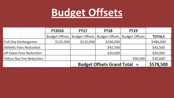# **Budget Offsets**

|                                 | <b>FY2016</b>         | <b>FY17</b>                         | <b>FY18</b>           | <b>FY19</b>           |               |
|---------------------------------|-----------------------|-------------------------------------|-----------------------|-----------------------|---------------|
|                                 | <b>Budget Offsets</b> | <b>Budget Offsets</b>               | <b>Budget Offsets</b> | <b>Budget Offsets</b> | <b>TOTALS</b> |
| <b>Full Day Kindergarten</b>    | \$125,000             | \$125,000                           | \$236,000             |                       | \$486,000     |
| <b>Athletic Fees Reduction</b>  |                       |                                     | \$42,500              |                       | \$42,500      |
| <b>AP Exam Fees Reduction</b>   |                       |                                     | \$20,000              |                       | \$20,000      |
| <b>Yellow Bus Fee Reduction</b> |                       |                                     |                       | \$30,000              | \$30,000      |
|                                 |                       | <b>Budget Offsets Grand Total =</b> | \$578,500             |                       |               |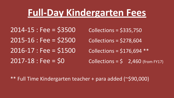## **Full-Day Kindergarten Fees**

2014-15 : Fee = \$3500 Collections = \$335,750  $2015 - 16$  : Fee =  $$2500$  Collections =  $$278,604$  $2016 - 17$ : Fee =  $$1500$  Collections =  $$176,694$  \*\*

2017-18 : Fee =  $$0$  Collections =  $$2,460$  (from FY17)

#### \*\* Full Time Kindergarten teacher + para added (~\$90,000)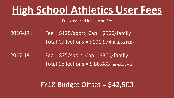# **High School Athletics User Fees**

Free/reduced lunch = no fee

2016-17 : Fee = \$125/sport; Cap = \$500/family Total Collections = \$101,974 (includes DMS)

 $2017 - 18$ : Fee = \$75/sport; Cap = \$300/family Total Collections =  $$86,883$  (includes DMS)

 $FY18$  Budget Offset =  $$42,500$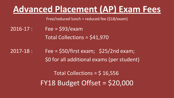## **Advanced Placement (AP) Exam Fees**

Free/reduced lunch = reduced fee (\$18/exam)

- 2016-17 : Fee = \$93/exam Total Collections = \$41,970
- 2017-18 : Fee = \$50/first exam; \$25/2nd exam; \$0 for all additional exams (per student)

Total Collections = \$ 16,556 FY18 Budget Offset = \$20,000